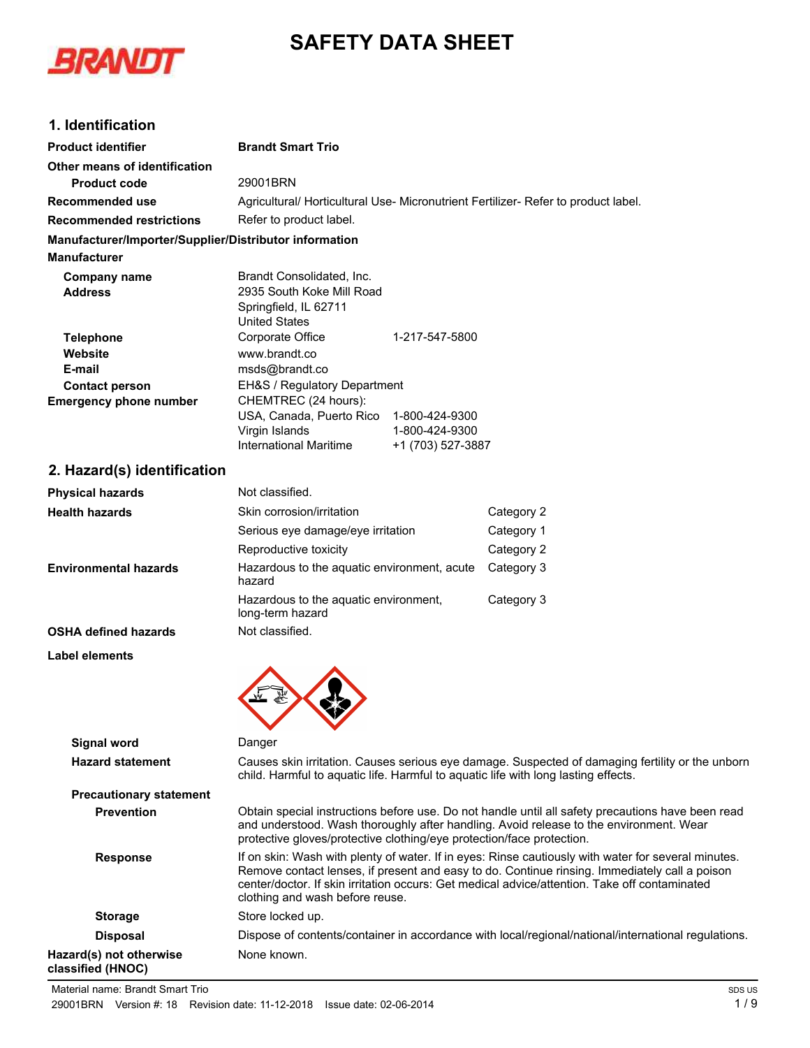# **SAFETY DATA SHEET**



# **1. Identification**

| <b>Product identifier</b>                              | <b>Brandt Smart Trio</b>                                              |                   |                                                                                                                                                                                                                                                                                                       |
|--------------------------------------------------------|-----------------------------------------------------------------------|-------------------|-------------------------------------------------------------------------------------------------------------------------------------------------------------------------------------------------------------------------------------------------------------------------------------------------------|
| Other means of identification                          |                                                                       |                   |                                                                                                                                                                                                                                                                                                       |
| <b>Product code</b>                                    | 29001BRN                                                              |                   |                                                                                                                                                                                                                                                                                                       |
| <b>Recommended use</b>                                 |                                                                       |                   | Agricultural/ Horticultural Use- Micronutrient Fertilizer- Refer to product label.                                                                                                                                                                                                                    |
| <b>Recommended restrictions</b>                        | Refer to product label.                                               |                   |                                                                                                                                                                                                                                                                                                       |
| Manufacturer/Importer/Supplier/Distributor information |                                                                       |                   |                                                                                                                                                                                                                                                                                                       |
| <b>Manufacturer</b>                                    |                                                                       |                   |                                                                                                                                                                                                                                                                                                       |
| <b>Company name</b>                                    | Brandt Consolidated, Inc.                                             |                   |                                                                                                                                                                                                                                                                                                       |
| <b>Address</b>                                         | 2935 South Koke Mill Road                                             |                   |                                                                                                                                                                                                                                                                                                       |
|                                                        | Springfield, IL 62711<br><b>United States</b>                         |                   |                                                                                                                                                                                                                                                                                                       |
| <b>Telephone</b>                                       | Corporate Office                                                      | 1-217-547-5800    |                                                                                                                                                                                                                                                                                                       |
| Website                                                | www.brandt.co                                                         |                   |                                                                                                                                                                                                                                                                                                       |
| E-mail                                                 | msds@brandt.co                                                        |                   |                                                                                                                                                                                                                                                                                                       |
| <b>Contact person</b>                                  | EH&S / Regulatory Department                                          |                   |                                                                                                                                                                                                                                                                                                       |
| <b>Emergency phone number</b>                          | CHEMTREC (24 hours):                                                  |                   |                                                                                                                                                                                                                                                                                                       |
|                                                        | USA, Canada, Puerto Rico                                              | 1-800-424-9300    |                                                                                                                                                                                                                                                                                                       |
|                                                        | Virgin Islands<br><b>International Maritime</b>                       | 1-800-424-9300    |                                                                                                                                                                                                                                                                                                       |
|                                                        |                                                                       | +1 (703) 527-3887 |                                                                                                                                                                                                                                                                                                       |
| 2. Hazard(s) identification                            |                                                                       |                   |                                                                                                                                                                                                                                                                                                       |
| <b>Physical hazards</b>                                | Not classified.                                                       |                   |                                                                                                                                                                                                                                                                                                       |
| <b>Health hazards</b>                                  | Skin corrosion/irritation                                             |                   | Category 2                                                                                                                                                                                                                                                                                            |
|                                                        | Serious eye damage/eye irritation                                     |                   | Category 1                                                                                                                                                                                                                                                                                            |
|                                                        | Reproductive toxicity                                                 |                   | Category 2                                                                                                                                                                                                                                                                                            |
| <b>Environmental hazards</b>                           | Hazardous to the aquatic environment, acute<br>hazard                 |                   | Category 3                                                                                                                                                                                                                                                                                            |
|                                                        | Hazardous to the aquatic environment,<br>long-term hazard             |                   | Category 3                                                                                                                                                                                                                                                                                            |
| <b>OSHA defined hazards</b>                            | Not classified.                                                       |                   |                                                                                                                                                                                                                                                                                                       |
| Label elements                                         |                                                                       |                   |                                                                                                                                                                                                                                                                                                       |
|                                                        |                                                                       |                   |                                                                                                                                                                                                                                                                                                       |
| <b>Signal word</b>                                     | Danger                                                                |                   |                                                                                                                                                                                                                                                                                                       |
| <b>Hazard statement</b>                                |                                                                       |                   | Causes skin irritation. Causes serious eye damage. Suspected of damaging fertility or the unborn<br>child. Harmful to aquatic life. Harmful to aquatic life with long lasting effects.                                                                                                                |
| <b>Precautionary statement</b>                         |                                                                       |                   |                                                                                                                                                                                                                                                                                                       |
| <b>Prevention</b>                                      |                                                                       |                   | Obtain special instructions before use. Do not handle until all safety precautions have been read                                                                                                                                                                                                     |
|                                                        | protective gloves/protective clothing/eye protection/face protection. |                   | and understood. Wash thoroughly after handling. Avoid release to the environment. Wear                                                                                                                                                                                                                |
| <b>Response</b>                                        | clothing and wash before reuse.                                       |                   | If on skin: Wash with plenty of water. If in eyes: Rinse cautiously with water for several minutes.<br>Remove contact lenses, if present and easy to do. Continue rinsing. Immediately call a poison<br>center/doctor. If skin irritation occurs: Get medical advice/attention. Take off contaminated |
| <b>Storage</b>                                         | Store locked up.                                                      |                   |                                                                                                                                                                                                                                                                                                       |
| <b>Disposal</b>                                        |                                                                       |                   | Dispose of contents/container in accordance with local/regional/national/international regulations.                                                                                                                                                                                                   |
| Hazard(s) not otherwise<br>classified (HNOC)           | None known.                                                           |                   |                                                                                                                                                                                                                                                                                                       |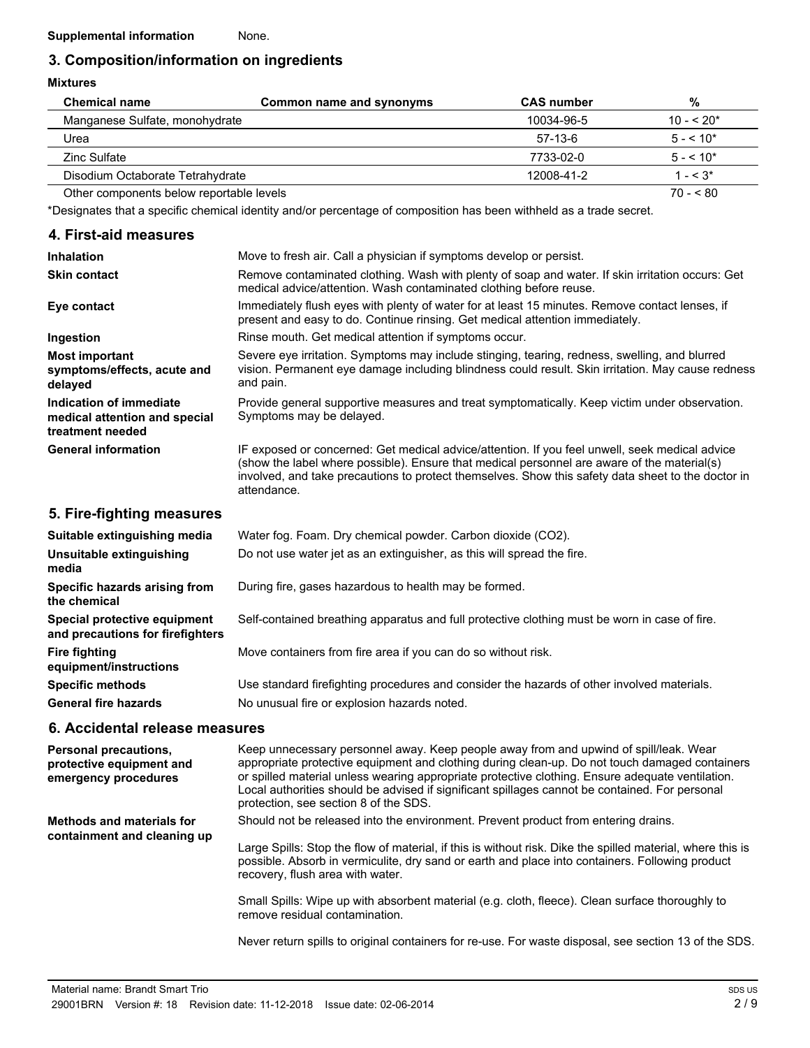# **3. Composition/information on ingredients**

| <b>Mixtures</b>                          |                          |                   |               |
|------------------------------------------|--------------------------|-------------------|---------------|
| <b>Chemical name</b>                     | Common name and synonyms | <b>CAS number</b> | %             |
| Manganese Sulfate, monohydrate           |                          | 10034-96-5        | $10 - 520*$   |
| Urea                                     |                          | $57-13-6$         | $5 - 5.10*$   |
| Zinc Sulfate                             |                          | 7733-02-0         | $5 - 5 < 10*$ |
| Disodium Octaborate Tetrahydrate         |                          | 12008-41-2        | $1 - 5.3^*$   |
| Other components below reportable levels |                          |                   | $70 - 80$     |

\*Designates that a specific chemical identity and/or percentage of composition has been withheld as a trade secret.

# **4. First-aid measures**

| <b>Inhalation</b>                                                            | Move to fresh air. Call a physician if symptoms develop or persist.                                                                                                                                                                                                                                                |
|------------------------------------------------------------------------------|--------------------------------------------------------------------------------------------------------------------------------------------------------------------------------------------------------------------------------------------------------------------------------------------------------------------|
| <b>Skin contact</b>                                                          | Remove contaminated clothing. Wash with plenty of soap and water. If skin irritation occurs: Get<br>medical advice/attention. Wash contaminated clothing before reuse.                                                                                                                                             |
| Eye contact                                                                  | Immediately flush eyes with plenty of water for at least 15 minutes. Remove contact lenses, if<br>present and easy to do. Continue rinsing. Get medical attention immediately.                                                                                                                                     |
| Ingestion                                                                    | Rinse mouth. Get medical attention if symptoms occur.                                                                                                                                                                                                                                                              |
| <b>Most important</b><br>symptoms/effects, acute and<br>delayed              | Severe eye irritation. Symptoms may include stinging, tearing, redness, swelling, and blurred<br>vision. Permanent eye damage including blindness could result. Skin irritation. May cause redness<br>and pain.                                                                                                    |
| Indication of immediate<br>medical attention and special<br>treatment needed | Provide general supportive measures and treat symptomatically. Keep victim under observation.<br>Symptoms may be delayed.                                                                                                                                                                                          |
| <b>General information</b>                                                   | IF exposed or concerned: Get medical advice/attention. If you feel unwell, seek medical advice<br>(show the label where possible). Ensure that medical personnel are aware of the material(s)<br>involved, and take precautions to protect themselves. Show this safety data sheet to the doctor in<br>attendance. |

# **5. Fire-fighting measures**

| Suitable extinguishing media<br>Unsuitable extinguishing<br>media | Water fog. Foam. Dry chemical powder. Carbon dioxide (CO2).<br>Do not use water jet as an extinguisher, as this will spread the fire. |
|-------------------------------------------------------------------|---------------------------------------------------------------------------------------------------------------------------------------|
| Specific hazards arising from<br>the chemical                     | During fire, gases hazardous to health may be formed.                                                                                 |
| Special protective equipment<br>and precautions for firefighters  | Self-contained breathing apparatus and full protective clothing must be worn in case of fire.                                         |
| <b>Fire fighting</b><br>equipment/instructions                    | Move containers from fire area if you can do so without risk.                                                                         |
| <b>Specific methods</b>                                           | Use standard firefighting procedures and consider the hazards of other involved materials.                                            |
| <b>General fire hazards</b>                                       | No unusual fire or explosion hazards noted.                                                                                           |

## **6. Accidental release measures**

| <b>Personal precautions,</b><br>protective equipment and<br>emergency procedures | Keep unnecessary personnel away. Keep people away from and upwind of spill/leak. Wear<br>appropriate protective equipment and clothing during clean-up. Do not touch damaged containers<br>or spilled material unless wearing appropriate protective clothing. Ensure adequate ventilation.<br>Local authorities should be advised if significant spillages cannot be contained. For personal<br>protection, see section 8 of the SDS. |
|----------------------------------------------------------------------------------|----------------------------------------------------------------------------------------------------------------------------------------------------------------------------------------------------------------------------------------------------------------------------------------------------------------------------------------------------------------------------------------------------------------------------------------|
| Methods and materials for                                                        | Should not be released into the environment. Prevent product from entering drains.                                                                                                                                                                                                                                                                                                                                                     |
| containment and cleaning up                                                      | Large Spills: Stop the flow of material, if this is without risk. Dike the spilled material, where this is<br>possible. Absorb in vermiculite, dry sand or earth and place into containers. Following product<br>recovery, flush area with water.                                                                                                                                                                                      |
|                                                                                  | Small Spills: Wipe up with absorbent material (e.g. cloth, fleece). Clean surface thoroughly to<br>remove residual contamination.                                                                                                                                                                                                                                                                                                      |
|                                                                                  | Never return spills to original containers for re-use. For waste disposal, see section 13 of the SDS.                                                                                                                                                                                                                                                                                                                                  |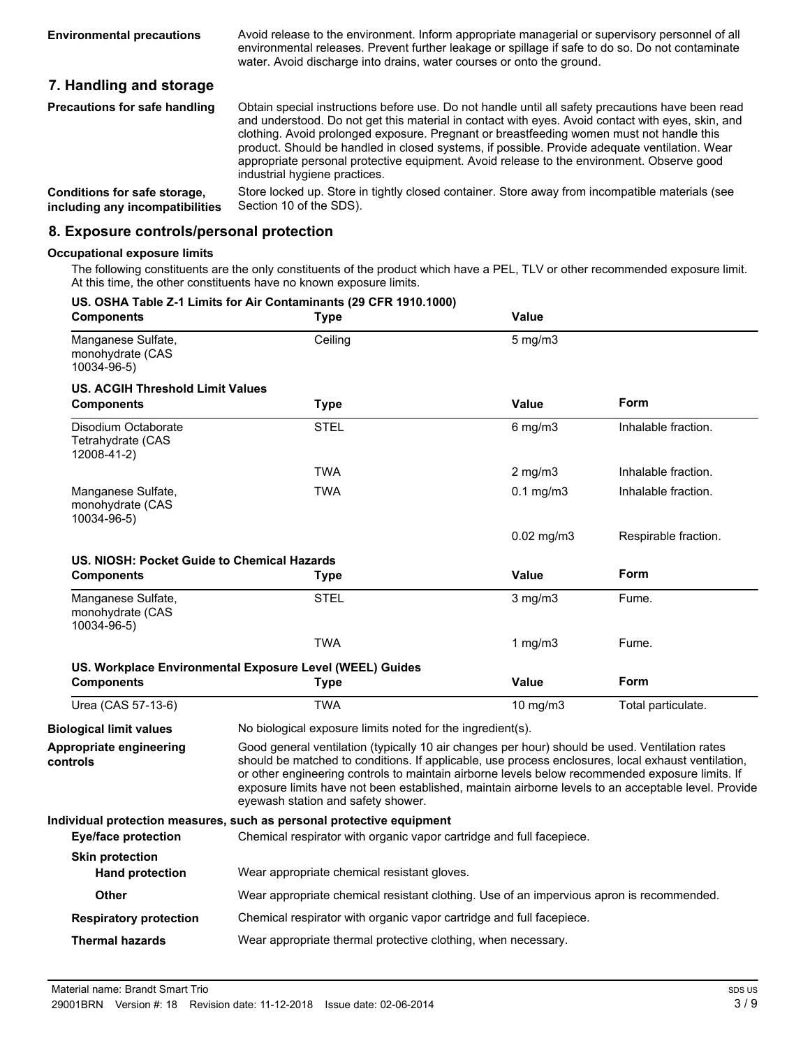Avoid release to the environment. Inform appropriate managerial or supervisory personnel of all environmental releases. Prevent further leakage or spillage if safe to do so. Do not contaminate water. Avoid discharge into drains, water courses or onto the ground.

# **7. Handling and storage**

| <b>Precautions for safe handling</b> | Obtain special instructions before use. Do not handle until all safety precautions have been read<br>and understood. Do not get this material in contact with eyes. Avoid contact with eyes, skin, and<br>clothing. Avoid prolonged exposure. Pregnant or breastfeeding women must not handle this<br>product. Should be handled in closed systems, if possible. Provide adequate ventilation. Wear<br>appropriate personal protective equipment. Avoid release to the environment. Observe good<br>industrial hygiene practices. |
|--------------------------------------|-----------------------------------------------------------------------------------------------------------------------------------------------------------------------------------------------------------------------------------------------------------------------------------------------------------------------------------------------------------------------------------------------------------------------------------------------------------------------------------------------------------------------------------|
| Conditions for safe storage,         | Store locked up. Store in tightly closed container. Store away from incompatible materials (see                                                                                                                                                                                                                                                                                                                                                                                                                                   |
| including any incompatibilities      | Section 10 of the SDS).                                                                                                                                                                                                                                                                                                                                                                                                                                                                                                           |

# **8. Exposure controls/personal protection**

**US. OSHA Table Z-1 Limits for Air Contaminants (29 CFR 1910.1000)**

#### **Occupational exposure limits**

The following constituents are the only constituents of the product which have a PEL, TLV or other recommended exposure limit. At this time, the other constituents have no known exposure limits.

| <b>Components</b>                                       | Type                                                                                                                                                                                                                                                                                                                                                                                                                                                 | <b>Value</b>          |                      |
|---------------------------------------------------------|------------------------------------------------------------------------------------------------------------------------------------------------------------------------------------------------------------------------------------------------------------------------------------------------------------------------------------------------------------------------------------------------------------------------------------------------------|-----------------------|----------------------|
| Manganese Sulfate,<br>monohydrate (CAS<br>10034-96-5)   | Ceiling                                                                                                                                                                                                                                                                                                                                                                                                                                              | $5$ mg/m $3$          |                      |
| <b>US. ACGIH Threshold Limit Values</b>                 |                                                                                                                                                                                                                                                                                                                                                                                                                                                      |                       |                      |
| <b>Components</b>                                       | <b>Type</b>                                                                                                                                                                                                                                                                                                                                                                                                                                          | <b>Value</b>          | <b>Form</b>          |
| Disodium Octaborate<br>Tetrahydrate (CAS<br>12008-41-2) | <b>STEL</b>                                                                                                                                                                                                                                                                                                                                                                                                                                          | $6$ mg/m $3$          | Inhalable fraction.  |
|                                                         | <b>TWA</b>                                                                                                                                                                                                                                                                                                                                                                                                                                           | $2$ mg/m $3$          | Inhalable fraction.  |
| Manganese Sulfate,<br>monohydrate (CAS<br>10034-96-5)   | <b>TWA</b>                                                                                                                                                                                                                                                                                                                                                                                                                                           | $0.1$ mg/m $3$        | Inhalable fraction.  |
|                                                         |                                                                                                                                                                                                                                                                                                                                                                                                                                                      | $0.02 \text{ mg/m}$ 3 | Respirable fraction. |
| US. NIOSH: Pocket Guide to Chemical Hazards             |                                                                                                                                                                                                                                                                                                                                                                                                                                                      |                       |                      |
| <b>Components</b>                                       | <b>Type</b>                                                                                                                                                                                                                                                                                                                                                                                                                                          | <b>Value</b>          | <b>Form</b>          |
| Manganese Sulfate,<br>monohydrate (CAS<br>10034-96-5)   | <b>STEL</b>                                                                                                                                                                                                                                                                                                                                                                                                                                          | $3$ mg/m $3$          | Fume.                |
|                                                         | <b>TWA</b>                                                                                                                                                                                                                                                                                                                                                                                                                                           | 1 $mg/m3$             | Fume.                |
|                                                         | US. Workplace Environmental Exposure Level (WEEL) Guides                                                                                                                                                                                                                                                                                                                                                                                             |                       |                      |
| <b>Components</b>                                       | <b>Type</b>                                                                                                                                                                                                                                                                                                                                                                                                                                          | <b>Value</b>          | <b>Form</b>          |
| Urea (CAS 57-13-6)                                      | <b>TWA</b>                                                                                                                                                                                                                                                                                                                                                                                                                                           | 10 mg/m3              | Total particulate.   |
| <b>Biological limit values</b>                          | No biological exposure limits noted for the ingredient(s).                                                                                                                                                                                                                                                                                                                                                                                           |                       |                      |
| Appropriate engineering<br>controls                     | Good general ventilation (typically 10 air changes per hour) should be used. Ventilation rates<br>should be matched to conditions. If applicable, use process enclosures, local exhaust ventilation,<br>or other engineering controls to maintain airborne levels below recommended exposure limits. If<br>exposure limits have not been established, maintain airborne levels to an acceptable level. Provide<br>eyewash station and safety shower. |                       |                      |
|                                                         | Individual protection measures, such as personal protective equipment                                                                                                                                                                                                                                                                                                                                                                                |                       |                      |
| <b>Eye/face protection</b>                              | Chemical respirator with organic vapor cartridge and full facepiece.                                                                                                                                                                                                                                                                                                                                                                                 |                       |                      |
| <b>Skin protection</b><br><b>Hand protection</b>        | Wear appropriate chemical resistant gloves.                                                                                                                                                                                                                                                                                                                                                                                                          |                       |                      |
| Other                                                   | Wear appropriate chemical resistant clothing. Use of an impervious apron is recommended.                                                                                                                                                                                                                                                                                                                                                             |                       |                      |
| <b>Respiratory protection</b>                           | Chemical respirator with organic vapor cartridge and full facepiece.                                                                                                                                                                                                                                                                                                                                                                                 |                       |                      |
| <b>Thermal hazards</b>                                  | Wear appropriate thermal protective clothing, when necessary.                                                                                                                                                                                                                                                                                                                                                                                        |                       |                      |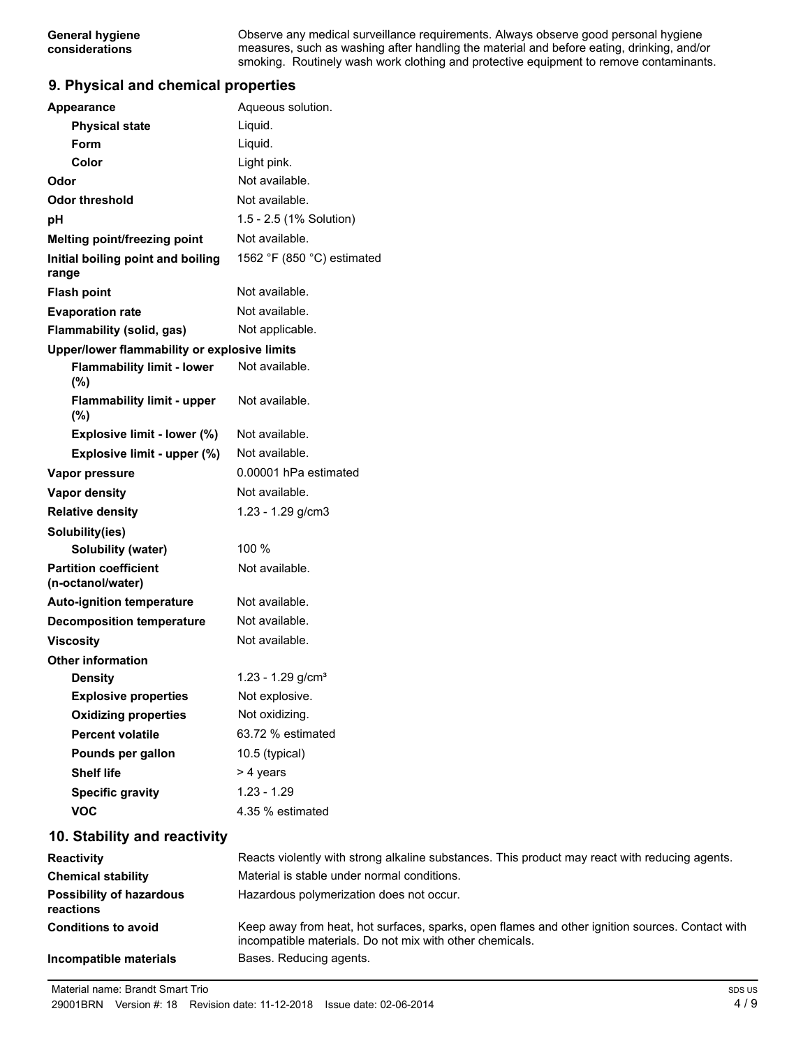Observe any medical surveillance requirements. Always observe good personal hygiene measures, such as washing after handling the material and before eating, drinking, and/or smoking. Routinely wash work clothing and protective equipment to remove contaminants.

# **9. Physical and chemical properties**

| Appearance                                        | Aqueous solution.                                                                              |
|---------------------------------------------------|------------------------------------------------------------------------------------------------|
| <b>Physical state</b>                             | Liquid.                                                                                        |
| Form                                              | Liquid.                                                                                        |
| Color                                             | Light pink.                                                                                    |
| Odor                                              | Not available.                                                                                 |
| <b>Odor threshold</b>                             | Not available.                                                                                 |
| pH                                                | 1.5 - 2.5 (1% Solution)                                                                        |
| Melting point/freezing point                      | Not available.                                                                                 |
| Initial boiling point and boiling                 | 1562 °F (850 °C) estimated                                                                     |
| range                                             |                                                                                                |
| <b>Flash point</b>                                | Not available.                                                                                 |
| <b>Evaporation rate</b>                           | Not available.                                                                                 |
| Flammability (solid, gas)                         | Not applicable.                                                                                |
| Upper/lower flammability or explosive limits      |                                                                                                |
| <b>Flammability limit - lower</b><br>$(\%)$       | Not available.                                                                                 |
| <b>Flammability limit - upper</b><br>$(\% )$      | Not available.                                                                                 |
| Explosive limit - lower (%)                       | Not available.                                                                                 |
| Explosive limit - upper (%)                       | Not available.                                                                                 |
| Vapor pressure                                    | 0.00001 hPa estimated                                                                          |
| <b>Vapor density</b>                              | Not available.                                                                                 |
| <b>Relative density</b>                           | 1.23 - 1.29 g/cm3                                                                              |
| Solubility(ies)                                   |                                                                                                |
| Solubility (water)                                | 100 %                                                                                          |
| <b>Partition coefficient</b><br>(n-octanol/water) | Not available.                                                                                 |
| <b>Auto-ignition temperature</b>                  | Not available.                                                                                 |
| <b>Decomposition temperature</b>                  | Not available.                                                                                 |
| <b>Viscosity</b>                                  | Not available.                                                                                 |
| <b>Other information</b>                          |                                                                                                |
| <b>Density</b>                                    | 1.23 - 1.29 $g/cm3$                                                                            |
| <b>Explosive properties</b>                       | Not explosive.                                                                                 |
| <b>Oxidizing properties</b>                       | Not oxidizing.                                                                                 |
| <b>Percent volatile</b>                           | 63.72 % estimated                                                                              |
| Pounds per gallon                                 | 10.5 (typical)                                                                                 |
| <b>Shelf life</b>                                 | > 4 years                                                                                      |
| <b>Specific gravity</b>                           | $1.23 - 1.29$                                                                                  |
| <b>VOC</b>                                        | 4.35 % estimated                                                                               |
| 10. Stability and reactivity                      |                                                                                                |
| Reactivity                                        | Reacts violently with strong alkaline substances. This product may react with reducing agents. |
| <b>Chemical stability</b>                         | Material is stable under normal conditions.                                                    |
| <b>Possibility of hazardous</b><br>reactions      | Hazardous polymerization does not occur.                                                       |
| <b>Conditions to avoid</b>                        | Keep away from heat, hot surfaces, sparks, open flames and other ignition sources. Contact w   |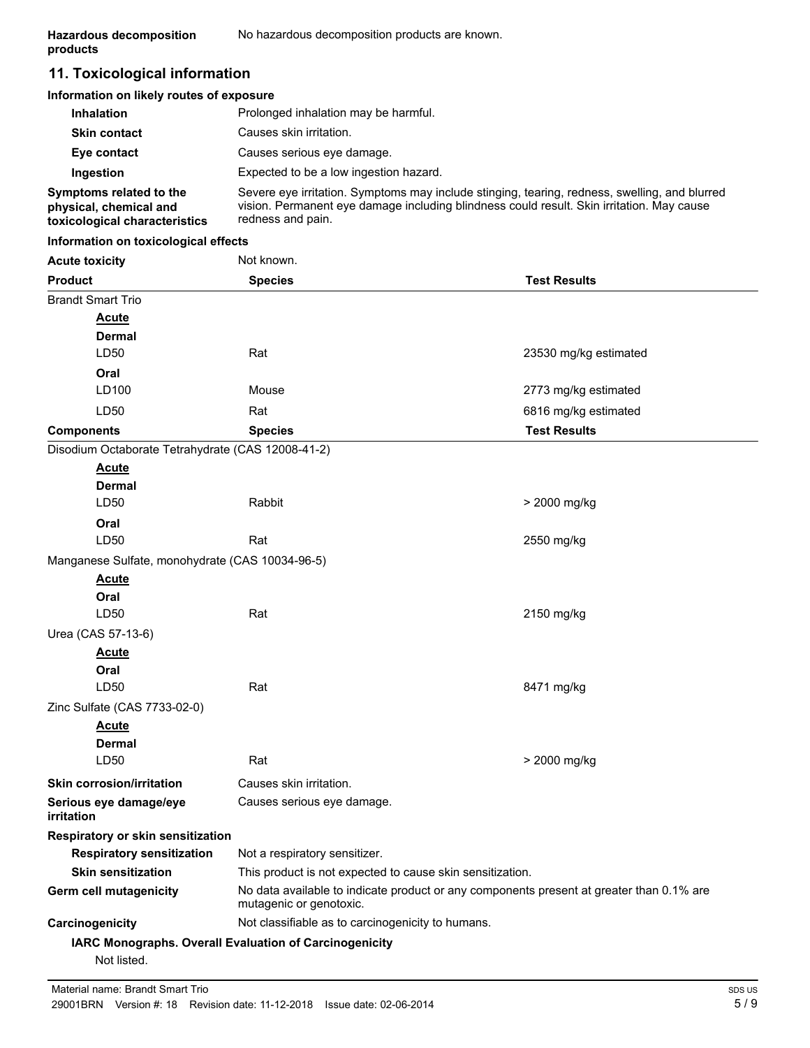# **11. Toxicological information**

## **Information on likely routes of exposure**

| <b>Inhalation</b>                                                                  | Prolonged inhalation may be harmful.                                                                                                                                                                            |
|------------------------------------------------------------------------------------|-----------------------------------------------------------------------------------------------------------------------------------------------------------------------------------------------------------------|
| <b>Skin contact</b>                                                                | Causes skin irritation.                                                                                                                                                                                         |
| Eye contact                                                                        | Causes serious eye damage.                                                                                                                                                                                      |
| Ingestion                                                                          | Expected to be a low ingestion hazard.                                                                                                                                                                          |
| Symptoms related to the<br>physical, chemical and<br>toxicological characteristics | Severe eye irritation. Symptoms may include stinging, tearing, redness, swelling, and blurred<br>vision. Permanent eye damage including blindness could result. Skin irritation. May cause<br>redness and pain. |

#### **Information on toxicological effects**

| <b>Acute toxicity</b>                             | Not known.                                                |                                                                                          |
|---------------------------------------------------|-----------------------------------------------------------|------------------------------------------------------------------------------------------|
| <b>Product</b>                                    | <b>Species</b>                                            | <b>Test Results</b>                                                                      |
| <b>Brandt Smart Trio</b>                          |                                                           |                                                                                          |
| <b>Acute</b>                                      |                                                           |                                                                                          |
| <b>Dermal</b>                                     |                                                           |                                                                                          |
| LD50                                              | Rat                                                       | 23530 mg/kg estimated                                                                    |
| Oral                                              |                                                           |                                                                                          |
| LD100                                             | Mouse                                                     | 2773 mg/kg estimated                                                                     |
| LD50                                              | Rat                                                       | 6816 mg/kg estimated                                                                     |
| <b>Components</b>                                 | <b>Species</b>                                            | <b>Test Results</b>                                                                      |
| Disodium Octaborate Tetrahydrate (CAS 12008-41-2) |                                                           |                                                                                          |
| <b>Acute</b>                                      |                                                           |                                                                                          |
| <b>Dermal</b>                                     |                                                           |                                                                                          |
| LD50                                              | Rabbit                                                    | > 2000 mg/kg                                                                             |
| Oral                                              |                                                           |                                                                                          |
| LD50                                              | Rat                                                       | 2550 mg/kg                                                                               |
| Manganese Sulfate, monohydrate (CAS 10034-96-5)   |                                                           |                                                                                          |
| <b>Acute</b>                                      |                                                           |                                                                                          |
| Oral                                              |                                                           |                                                                                          |
| LD50                                              | Rat                                                       | 2150 mg/kg                                                                               |
| Urea (CAS 57-13-6)                                |                                                           |                                                                                          |
| <b>Acute</b>                                      |                                                           |                                                                                          |
| Oral                                              |                                                           |                                                                                          |
| LD50                                              | Rat                                                       | 8471 mg/kg                                                                               |
| Zinc Sulfate (CAS 7733-02-0)                      |                                                           |                                                                                          |
| <b>Acute</b>                                      |                                                           |                                                                                          |
| <b>Dermal</b><br>LD50                             | Rat                                                       | > 2000 mg/kg                                                                             |
|                                                   |                                                           |                                                                                          |
| <b>Skin corrosion/irritation</b>                  | Causes skin irritation.                                   |                                                                                          |
| Serious eye damage/eye<br>irritation              | Causes serious eye damage.                                |                                                                                          |
| Respiratory or skin sensitization                 |                                                           |                                                                                          |
| <b>Respiratory sensitization</b>                  | Not a respiratory sensitizer.                             |                                                                                          |
| <b>Skin sensitization</b>                         | This product is not expected to cause skin sensitization. |                                                                                          |
| <b>Germ cell mutagenicity</b>                     | mutagenic or genotoxic.                                   | No data available to indicate product or any components present at greater than 0.1% are |
| Carcinogenicity                                   | Not classifiable as to carcinogenicity to humans.         |                                                                                          |
|                                                   | IARC Monographs. Overall Evaluation of Carcinogenicity    |                                                                                          |
| Not listed.                                       |                                                           |                                                                                          |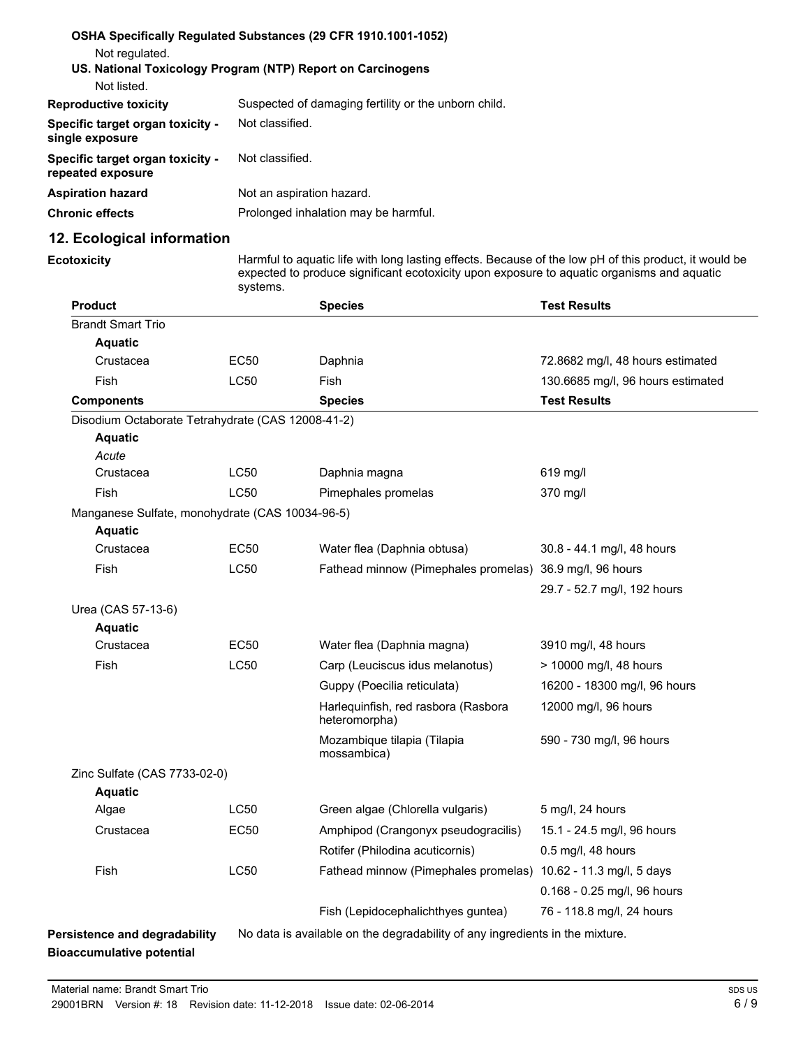| Not regulated.<br>Not listed.                                | OSHA Specifically Regulated Substances (29 CFR 1910.1001-1052)<br>US. National Toxicology Program (NTP) Report on Carcinogens |
|--------------------------------------------------------------|-------------------------------------------------------------------------------------------------------------------------------|
| Reproductive toxicity                                        | Suspected of damaging fertility or the unborn child.                                                                          |
| <b>Specific target organ toxicity -</b><br>single exposure   | Not classified.                                                                                                               |
| <b>Specific target organ toxicity -</b><br>repeated exposure | Not classified.                                                                                                               |
| Aspiration hazard                                            | Not an aspiration hazard.                                                                                                     |
| Chronic effects                                              | Prolonged inhalation may be harmful.                                                                                          |
|                                                              |                                                                                                                               |

# **12. Ecological information**

**Ecotoxicity**

Harmful to aquatic life with long lasting effects. Because of the low pH of this product, it would be expected to produce significant ecotoxicity upon exposure to aquatic organisms and aquatic systems.

| <b>Product</b>                                    |             | <b>Species</b>                                                 | <b>Test Results</b>               |
|---------------------------------------------------|-------------|----------------------------------------------------------------|-----------------------------------|
| <b>Brandt Smart Trio</b>                          |             |                                                                |                                   |
| <b>Aquatic</b>                                    |             |                                                                |                                   |
| Crustacea                                         | EC50        | Daphnia                                                        | 72.8682 mg/l, 48 hours estimated  |
| Fish                                              | <b>LC50</b> | <b>Fish</b>                                                    | 130.6685 mg/l, 96 hours estimated |
| <b>Components</b>                                 |             | <b>Species</b>                                                 | <b>Test Results</b>               |
| Disodium Octaborate Tetrahydrate (CAS 12008-41-2) |             |                                                                |                                   |
| <b>Aquatic</b>                                    |             |                                                                |                                   |
| Acute                                             |             |                                                                |                                   |
| Crustacea                                         | <b>LC50</b> | Daphnia magna                                                  | 619 mg/l                          |
| <b>Fish</b>                                       | LC50        | Pimephales promelas                                            | 370 mg/l                          |
| Manganese Sulfate, monohydrate (CAS 10034-96-5)   |             |                                                                |                                   |
| <b>Aquatic</b>                                    |             |                                                                |                                   |
| Crustacea                                         | EC50        | Water flea (Daphnia obtusa)                                    | 30.8 - 44.1 mg/l, 48 hours        |
| <b>Fish</b>                                       | <b>LC50</b> | Fathead minnow (Pimephales promelas) 36.9 mg/l, 96 hours       |                                   |
|                                                   |             |                                                                | 29.7 - 52.7 mg/l, 192 hours       |
| Urea (CAS 57-13-6)                                |             |                                                                |                                   |
| <b>Aquatic</b>                                    |             |                                                                |                                   |
| Crustacea                                         | EC50        | Water flea (Daphnia magna)                                     | 3910 mg/l, 48 hours               |
| Fish                                              | <b>LC50</b> | Carp (Leuciscus idus melanotus)                                | > 10000 mg/l, 48 hours            |
|                                                   |             | Guppy (Poecilia reticulata)                                    | 16200 - 18300 mg/l, 96 hours      |
|                                                   |             | Harlequinfish, red rasbora (Rasbora<br>heteromorpha)           | 12000 mg/l, 96 hours              |
|                                                   |             | Mozambique tilapia (Tilapia<br>mossambica)                     | 590 - 730 mg/l, 96 hours          |
| Zinc Sulfate (CAS 7733-02-0)                      |             |                                                                |                                   |
| <b>Aquatic</b>                                    |             |                                                                |                                   |
| Algae                                             | <b>LC50</b> | Green algae (Chlorella vulgaris)                               | 5 mg/l, 24 hours                  |
| Crustacea                                         | <b>EC50</b> | Amphipod (Crangonyx pseudogracilis)                            | 15.1 - 24.5 mg/l, 96 hours        |
|                                                   |             | Rotifer (Philodina acuticornis)                                | 0.5 mg/l, 48 hours                |
| Fish                                              | <b>LC50</b> | Fathead minnow (Pimephales promelas) 10.62 - 11.3 mg/l, 5 days |                                   |
|                                                   |             |                                                                | 0.168 - 0.25 mg/l, 96 hours       |
|                                                   |             | Fish (Lepidocephalichthyes guntea)                             | 76 - 118.8 mg/l, 24 hours         |

**Bioaccumulative potential**

**Persistence and degradability** No data is available on the degradability of any ingredients in the mixture.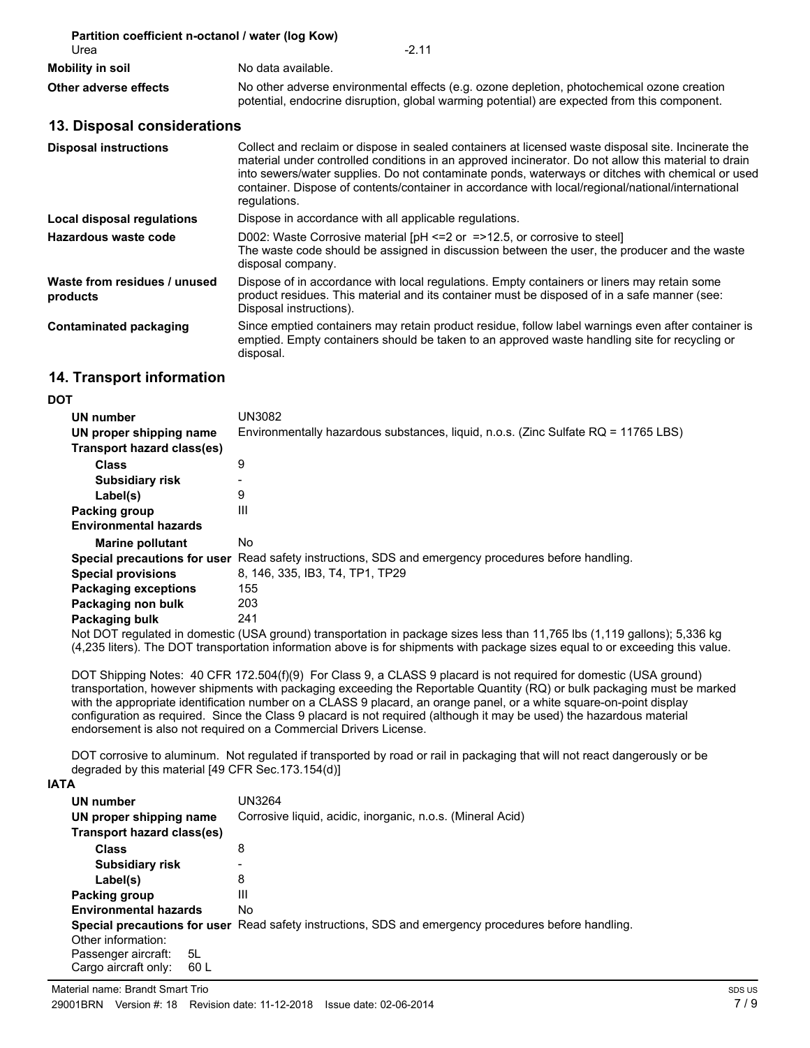| Partition coefficient n-octanol / water (log Kow) |                                                                                                                                                                                                                                                                                                                                                                                                                                      |  |
|---------------------------------------------------|--------------------------------------------------------------------------------------------------------------------------------------------------------------------------------------------------------------------------------------------------------------------------------------------------------------------------------------------------------------------------------------------------------------------------------------|--|
| Urea                                              | $-2.11$                                                                                                                                                                                                                                                                                                                                                                                                                              |  |
| <b>Mobility in soil</b>                           | No data available.                                                                                                                                                                                                                                                                                                                                                                                                                   |  |
| Other adverse effects                             | No other adverse environmental effects (e.g. ozone depletion, photochemical ozone creation<br>potential, endocrine disruption, global warming potential) are expected from this component.                                                                                                                                                                                                                                           |  |
| 13. Disposal considerations                       |                                                                                                                                                                                                                                                                                                                                                                                                                                      |  |
| <b>Disposal instructions</b>                      | Collect and reclaim or dispose in sealed containers at licensed waste disposal site. Incinerate the<br>material under controlled conditions in an approved incinerator. Do not allow this material to drain<br>into sewers/water supplies. Do not contaminate ponds, waterways or ditches with chemical or used<br>container. Dispose of contents/container in accordance with local/regional/national/international<br>regulations. |  |
| Local disposal regulations                        | Dispose in accordance with all applicable regulations.                                                                                                                                                                                                                                                                                                                                                                               |  |
| Hazardous waste code                              | D002: Waste Corrosive material $[PH \le 2$ or $= >12.5$ , or corrosive to steel<br>The waste code should be assigned in discussion between the user, the producer and the waste<br>disposal company.                                                                                                                                                                                                                                 |  |
| Waste from residues / unused<br>products          | Dispose of in accordance with local regulations. Empty containers or liners may retain some<br>product residues. This material and its container must be disposed of in a safe manner (see:<br>Disposal instructions).                                                                                                                                                                                                               |  |
| Contaminated packaging                            | Since emptied containers may retain product residue, follow label warnings even after container is<br>emptied. Empty containers should be taken to an approved waste handling site for recycling or<br>disposal.                                                                                                                                                                                                                     |  |

# **14. Transport information**

| UN number<br>UN proper shipping name<br>Transport hazard class(es) | UN3082<br>Environmentally hazardous substances, liquid, n.o.s. (Zinc Sulfate RQ = 11765 LBS)         |
|--------------------------------------------------------------------|------------------------------------------------------------------------------------------------------|
| <b>Class</b>                                                       | 9                                                                                                    |
| <b>Subsidiary risk</b>                                             |                                                                                                      |
| Label(s)                                                           | 9                                                                                                    |
| Packing group                                                      | Ш                                                                                                    |
| <b>Environmental hazards</b>                                       |                                                                                                      |
| <b>Marine pollutant</b>                                            | No.                                                                                                  |
|                                                                    | Special precautions for user Read safety instructions, SDS and emergency procedures before handling. |
| <b>Special provisions</b>                                          | 8, 146, 335, IB3, T4, TP1, TP29                                                                      |
| <b>Packaging exceptions</b>                                        | 155                                                                                                  |
| Packaging non bulk                                                 | 203                                                                                                  |
| Packaging bulk                                                     | 241                                                                                                  |
|                                                                    |                                                                                                      |

Not DOT regulated in domestic (USA ground) transportation in package sizes less than 11,765 lbs (1,119 gallons); 5,336 kg (4,235 liters). The DOT transportation information above is for shipments with package sizes equal to or exceeding this value.

DOT Shipping Notes: 40 CFR 172.504(f)(9) For Class 9, a CLASS 9 placard is not required for domestic (USA ground) transportation, however shipments with packaging exceeding the Reportable Quantity (RQ) or bulk packaging must be marked with the appropriate identification number on a CLASS 9 placard, an orange panel, or a white square-on-point display configuration as required. Since the Class 9 placard is not required (although it may be used) the hazardous material endorsement is also not required on a Commercial Drivers License.

DOT corrosive to aluminum. Not regulated if transported by road or rail in packaging that will not react dangerously or be degraded by this material [49 CFR Sec.173.154(d)]

### **IATA**

| UN number                    | UN3264                                                                                               |
|------------------------------|------------------------------------------------------------------------------------------------------|
| UN proper shipping name      | Corrosive liquid, acidic, inorganic, n.o.s. (Mineral Acid)                                           |
| Transport hazard class(es)   |                                                                                                      |
| <b>Class</b>                 | 8                                                                                                    |
| <b>Subsidiary risk</b>       |                                                                                                      |
| Label(s)                     | 8                                                                                                    |
| Packing group                | Ш                                                                                                    |
| <b>Environmental hazards</b> | No.                                                                                                  |
|                              | Special precautions for user Read safety instructions, SDS and emergency procedures before handling. |
| Other information:           |                                                                                                      |
| Passenger aircraft:<br>5L    |                                                                                                      |
| Cargo aircraft only:<br>60 L |                                                                                                      |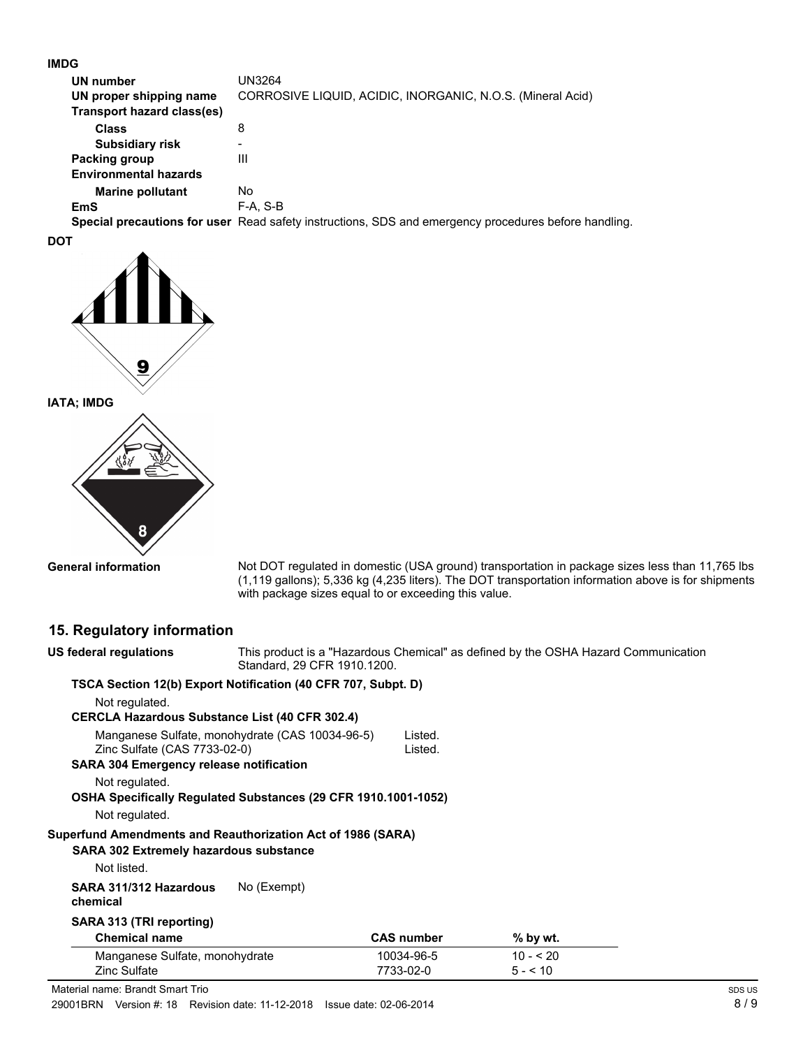**IMDG**

| UN number                    | UN3264                                                                                       |
|------------------------------|----------------------------------------------------------------------------------------------|
| UN proper shipping name      | CORROSIVE LIQUID, ACIDIC, INORGANIC, N.O.S. (Mineral Acid)                                   |
| Transport hazard class(es)   |                                                                                              |
| <b>Class</b>                 | 8                                                                                            |
| <b>Subsidiary risk</b>       | -                                                                                            |
| Packing group                | Ш                                                                                            |
| <b>Environmental hazards</b> |                                                                                              |
| <b>Marine pollutant</b>      | No                                                                                           |
| <b>EmS</b>                   | $F-A. S-B$                                                                                   |
|                              | Casaial assessitions for user Dead octobrigational CDC and emergency presedures before begin |

**Special precautions for user** Read safety instructions, SDS and emergency procedures before handling.

**DOT**



**IATA; IMDG**



**General information**

Not DOT regulated in domestic (USA ground) transportation in package sizes less than 11,765 lbs (1,119 gallons); 5,336 kg (4,235 liters). The DOT transportation information above is for shipments with package sizes equal to or exceeding this value.

# **15. Regulatory information**

| This product is a "Hazardous Chemical" as defined by the OSHA Hazard Communication<br>US federal regulations<br>Standard, 29 CFR 1910.1200. |             |                         |                        |  |
|---------------------------------------------------------------------------------------------------------------------------------------------|-------------|-------------------------|------------------------|--|
| TSCA Section 12(b) Export Notification (40 CFR 707, Subpt. D)                                                                               |             |                         |                        |  |
| Not regulated.                                                                                                                              |             |                         |                        |  |
| <b>CERCLA Hazardous Substance List (40 CFR 302.4)</b>                                                                                       |             |                         |                        |  |
| Manganese Sulfate, monohydrate (CAS 10034-96-5)<br>Zinc Sulfate (CAS 7733-02-0)<br><b>SARA 304 Emergency release notification</b>           |             | Listed.<br>Listed.      |                        |  |
| Not regulated.<br>OSHA Specifically Regulated Substances (29 CFR 1910.1001-1052)<br>Not regulated.                                          |             |                         |                        |  |
| Superfund Amendments and Reauthorization Act of 1986 (SARA)<br><b>SARA 302 Extremely hazardous substance</b><br>Not listed.                 |             |                         |                        |  |
| SARA 311/312 Hazardous<br>chemical                                                                                                          | No (Exempt) |                         |                        |  |
| SARA 313 (TRI reporting)                                                                                                                    |             |                         |                        |  |
| <b>Chemical name</b>                                                                                                                        |             | <b>CAS number</b>       | $%$ by wt.             |  |
| Manganese Sulfate, monohydrate<br>Zinc Sulfate                                                                                              |             | 10034-96-5<br>7733-02-0 | $10 - 520$<br>$5 - 10$ |  |

Material name: Brandt Smart Trio 29001BRN Version #: 18 Revision date: 11-12-2018 Issue date: 02-06-2014